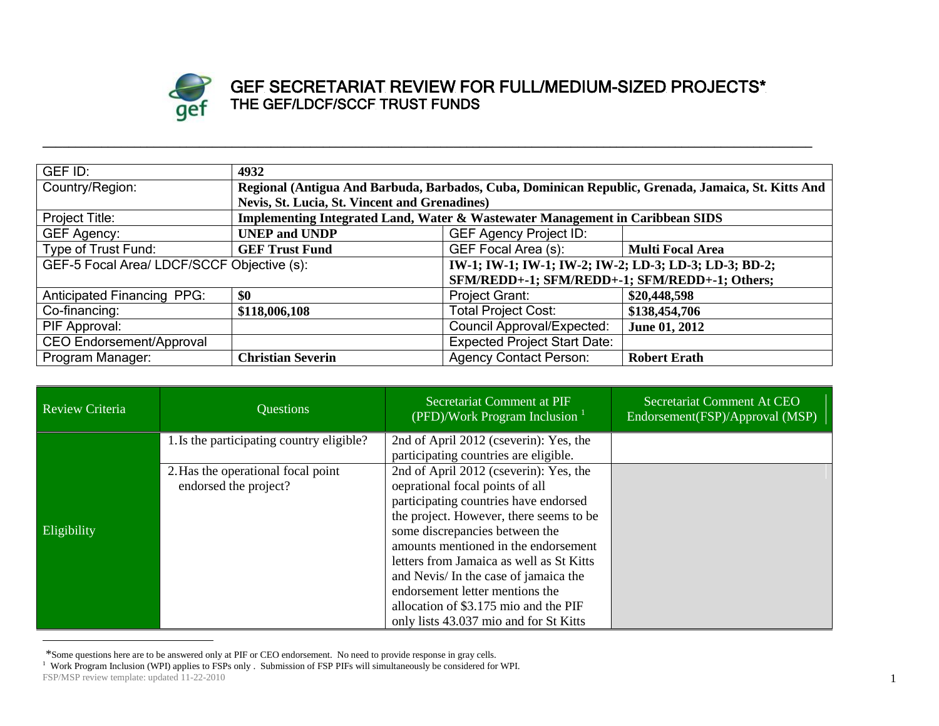

## GEF SECRETARIAT REVIEW FOR FULL/MEDIUM-SIZED PROJECTS\* THE GEF/LDCF/SCCF TRUST FUNDS

| GEF ID:                                        | 4932                                                                                               |                                                       |                         |
|------------------------------------------------|----------------------------------------------------------------------------------------------------|-------------------------------------------------------|-------------------------|
| Country/Region:                                | Regional (Antigua And Barbuda, Barbados, Cuba, Dominican Republic, Grenada, Jamaica, St. Kitts And |                                                       |                         |
|                                                | Nevis, St. Lucia, St. Vincent and Grenadines)                                                      |                                                       |                         |
| Project Title:                                 | Implementing Integrated Land, Water & Wastewater Management in Caribbean SIDS                      |                                                       |                         |
| <b>GEF Agency:</b>                             | <b>UNEP and UNDP</b>                                                                               | <b>GEF Agency Project ID:</b>                         |                         |
| Type of Trust Fund:                            | <b>GEF Trust Fund</b>                                                                              | GEF Focal Area (s):                                   | <b>Multi Focal Area</b> |
| GEF-5 Focal Area/ LDCF/SCCF Objective (s):     |                                                                                                    | IW-1; IW-1; IW-1; IW-2; IW-2; LD-3; LD-3; LD-3; BD-2; |                         |
| SFM/REDD+-1; SFM/REDD+-1; SFM/REDD+-1; Others; |                                                                                                    |                                                       |                         |
| <b>Anticipated Financing PPG:</b>              | \$0                                                                                                | Project Grant:                                        | \$20,448,598            |
| Co-financing:                                  | \$118,006,108                                                                                      | <b>Total Project Cost:</b>                            | \$138,454,706           |
| PIF Approval:                                  |                                                                                                    | Council Approval/Expected:                            | June 01, 2012           |
| <b>CEO Endorsement/Approval</b>                |                                                                                                    | <b>Expected Project Start Date:</b>                   |                         |
| Program Manager:                               | <b>Christian Severin</b>                                                                           | <b>Agency Contact Person:</b>                         | <b>Robert Erath</b>     |

**\_\_\_\_\_\_\_\_\_\_\_\_\_\_\_\_\_\_\_\_\_\_\_\_\_\_\_\_\_\_\_\_\_\_\_\_\_\_\_\_\_\_\_\_\_\_\_\_\_\_\_\_\_\_\_\_\_\_\_\_\_\_\_\_\_\_\_\_\_\_\_\_\_\_\_\_\_\_\_\_\_\_\_\_\_\_\_\_\_\_\_\_\_\_\_\_\_\_\_\_\_\_\_\_\_\_\_\_\_\_\_\_\_\_\_\_\_\_**

| <b>Review Criteria</b> | <b>Questions</b>                                            | Secretariat Comment at PIF<br>(PFD)/Work Program Inclusion $1$                                                                                                                                                                                                                                                                                                                                                                                     | Secretariat Comment At CEO<br>Endorsement(FSP)/Approval (MSP) |
|------------------------|-------------------------------------------------------------|----------------------------------------------------------------------------------------------------------------------------------------------------------------------------------------------------------------------------------------------------------------------------------------------------------------------------------------------------------------------------------------------------------------------------------------------------|---------------------------------------------------------------|
|                        | 1. Is the participating country eligible?                   | 2nd of April 2012 (cseverin): Yes, the<br>participating countries are eligible.                                                                                                                                                                                                                                                                                                                                                                    |                                                               |
| Eligibility            | 2. Has the operational focal point<br>endorsed the project? | 2nd of April 2012 (cseverin): Yes, the<br>oeprational focal points of all<br>participating countries have endorsed<br>the project. However, there seems to be<br>some discrepancies between the<br>amounts mentioned in the endorsement<br>letters from Jamaica as well as St Kitts<br>and Nevis/ In the case of jamaica the<br>endorsement letter mentions the<br>allocation of \$3.175 mio and the PIF<br>only lists 43.037 mio and for St Kitts |                                                               |

<sup>\*</sup>Some questions here are to be answered only at PIF or CEO endorsement. No need to provide response in gray cells.

 $\overline{a}$ 

FSP/MSP review template: updated 11-22-2010 <sup>1</sup> Work Program Inclusion (WPI) applies to FSPs only . Submission of FSP PIFs will simultaneously be considered for WPI.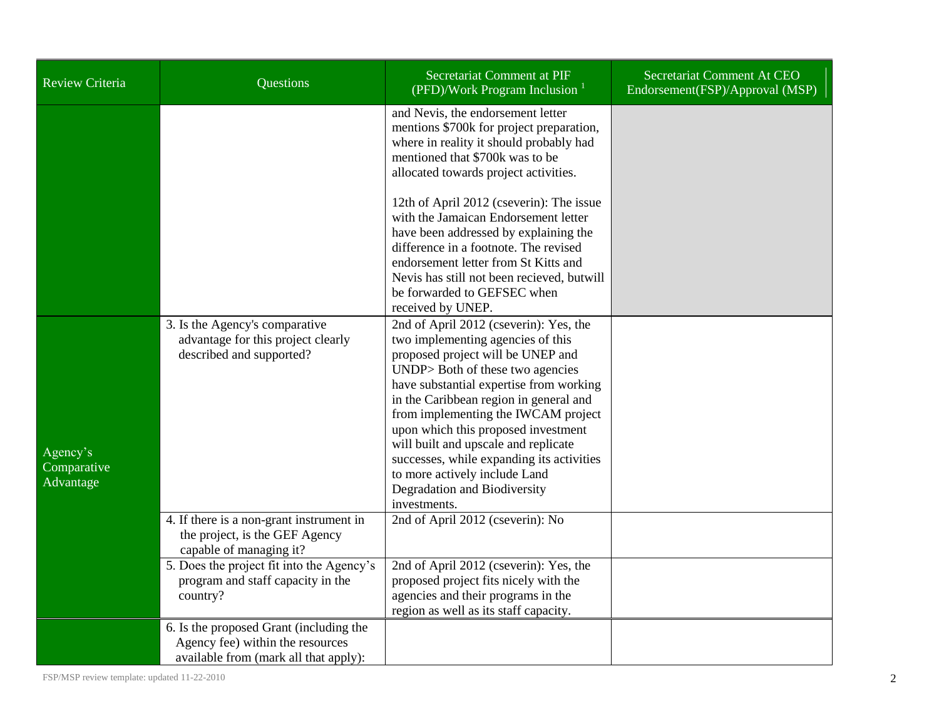| <b>Review Criteria</b>               | Questions                                                                                                            | Secretariat Comment at PIF<br>(PFD)/Work Program Inclusion $1$                                                                                                                                                                                                                                                                                                                                                                                                                                                        | Secretariat Comment At CEO<br>Endorsement(FSP)/Approval (MSP) |
|--------------------------------------|----------------------------------------------------------------------------------------------------------------------|-----------------------------------------------------------------------------------------------------------------------------------------------------------------------------------------------------------------------------------------------------------------------------------------------------------------------------------------------------------------------------------------------------------------------------------------------------------------------------------------------------------------------|---------------------------------------------------------------|
|                                      |                                                                                                                      | and Nevis, the endorsement letter<br>mentions \$700k for project preparation,<br>where in reality it should probably had<br>mentioned that \$700k was to be<br>allocated towards project activities.<br>12th of April 2012 (cseverin): The issue<br>with the Jamaican Endorsement letter<br>have been addressed by explaining the<br>difference in a footnote. The revised<br>endorsement letter from St Kitts and<br>Nevis has still not been recieved, but will<br>be forwarded to GEFSEC when<br>received by UNEP. |                                                               |
| Agency's<br>Comparative<br>Advantage | 3. Is the Agency's comparative<br>advantage for this project clearly<br>described and supported?                     | 2nd of April 2012 (cseverin): Yes, the<br>two implementing agencies of this<br>proposed project will be UNEP and<br>UNDP> Both of these two agencies<br>have substantial expertise from working<br>in the Caribbean region in general and<br>from implementing the IWCAM project<br>upon which this proposed investment<br>will built and upscale and replicate<br>successes, while expanding its activities<br>to more actively include Land<br>Degradation and Biodiversity<br>investments.                         |                                                               |
|                                      | 4. If there is a non-grant instrument in<br>the project, is the GEF Agency<br>capable of managing it?                | 2nd of April 2012 (cseverin): No                                                                                                                                                                                                                                                                                                                                                                                                                                                                                      |                                                               |
|                                      | 5. Does the project fit into the Agency's<br>program and staff capacity in the<br>country?                           | 2nd of April 2012 (cseverin): Yes, the<br>proposed project fits nicely with the<br>agencies and their programs in the<br>region as well as its staff capacity.                                                                                                                                                                                                                                                                                                                                                        |                                                               |
|                                      | 6. Is the proposed Grant (including the<br>Agency fee) within the resources<br>available from (mark all that apply): |                                                                                                                                                                                                                                                                                                                                                                                                                                                                                                                       |                                                               |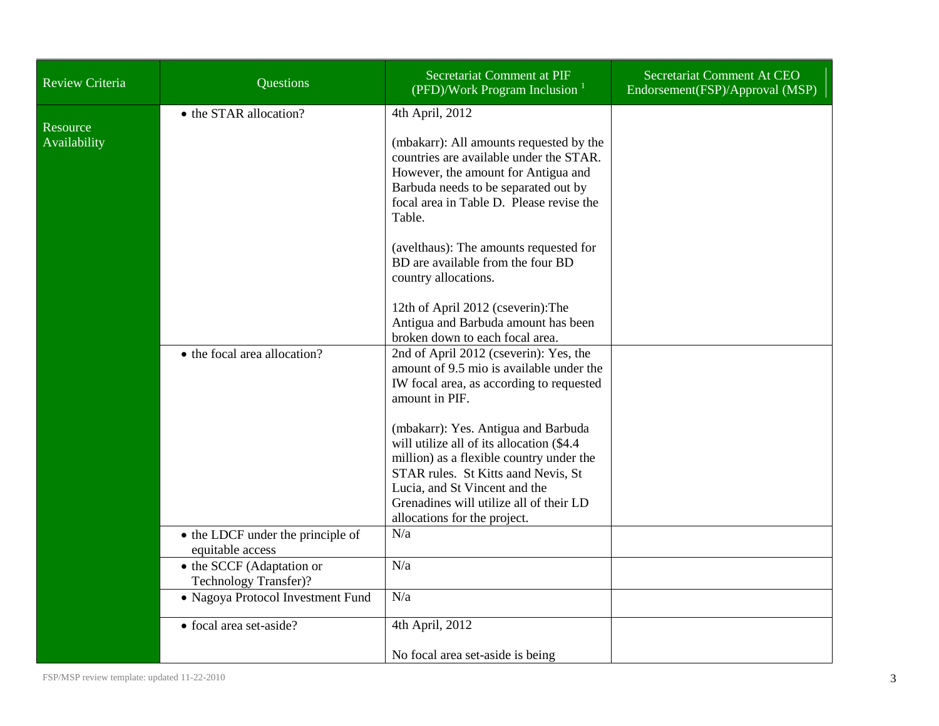| <b>Review Criteria</b>   | <b>Questions</b>                                      | Secretariat Comment at PIF<br>(PFD)/Work Program Inclusion $1$                                                                                                       | Secretariat Comment At CEO<br>Endorsement(FSP)/Approval (MSP) |
|--------------------------|-------------------------------------------------------|----------------------------------------------------------------------------------------------------------------------------------------------------------------------|---------------------------------------------------------------|
| Resource<br>Availability | • the STAR allocation?                                | 4th April, 2012<br>(mbakarr): All amounts requested by the<br>countries are available under the STAR.                                                                |                                                               |
|                          |                                                       | However, the amount for Antigua and<br>Barbuda needs to be separated out by<br>focal area in Table D. Please revise the<br>Table.                                    |                                                               |
|                          |                                                       | (avelthaus): The amounts requested for<br>BD are available from the four BD<br>country allocations.                                                                  |                                                               |
|                          |                                                       | 12th of April 2012 (cseverin): The<br>Antigua and Barbuda amount has been<br>broken down to each focal area.                                                         |                                                               |
|                          | • the focal area allocation?                          | 2nd of April 2012 (cseverin): Yes, the<br>amount of 9.5 mio is available under the<br>IW focal area, as according to requested<br>amount in PIF.                     |                                                               |
|                          |                                                       | (mbakarr): Yes. Antigua and Barbuda<br>will utilize all of its allocation (\$4.4)<br>million) as a flexible country under the<br>STAR rules. St Kitts aand Nevis, St |                                                               |
|                          |                                                       | Lucia, and St Vincent and the<br>Grenadines will utilize all of their LD<br>allocations for the project.                                                             |                                                               |
|                          | • the LDCF under the principle of<br>equitable access | N/a                                                                                                                                                                  |                                                               |
|                          | • the SCCF (Adaptation or<br>Technology Transfer)?    | N/a                                                                                                                                                                  |                                                               |
|                          | • Nagoya Protocol Investment Fund                     | N/a                                                                                                                                                                  |                                                               |
|                          | • focal area set-aside?                               | 4th April, 2012                                                                                                                                                      |                                                               |
|                          |                                                       | No focal area set-aside is being                                                                                                                                     |                                                               |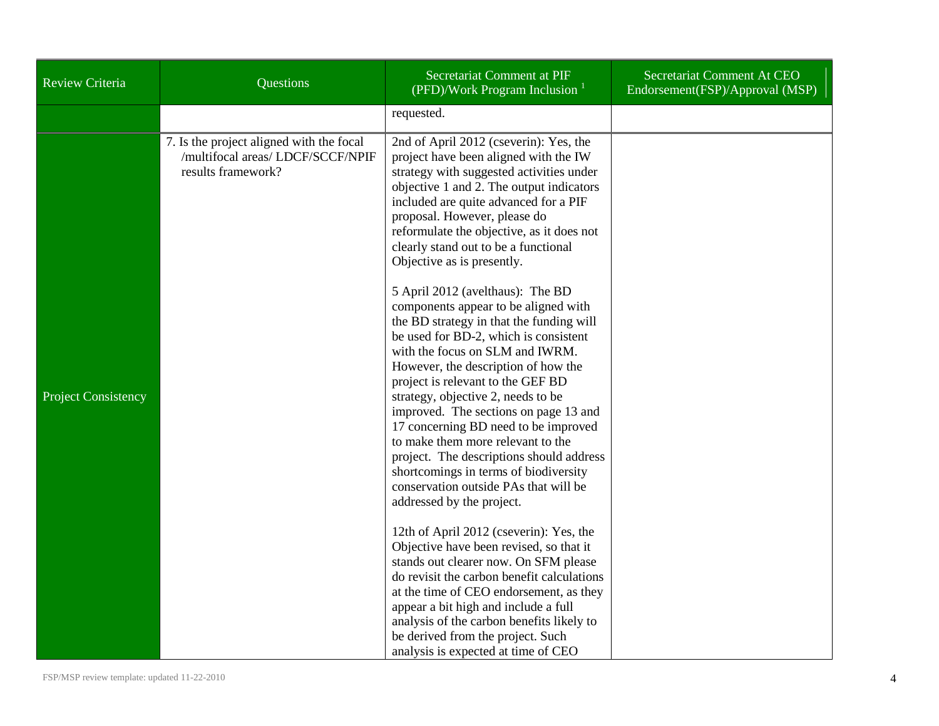| <b>Review Criteria</b>     | Questions                                                                                           | Secretariat Comment at PIF<br>(PFD)/Work Program Inclusion $1$                                                                                                                                                                                                                                                                                                                                                                                                                                                                                                                                                                                                                                                                                                                                                                                                                                                                                                                                                        | Secretariat Comment At CEO<br>Endorsement(FSP)/Approval (MSP) |
|----------------------------|-----------------------------------------------------------------------------------------------------|-----------------------------------------------------------------------------------------------------------------------------------------------------------------------------------------------------------------------------------------------------------------------------------------------------------------------------------------------------------------------------------------------------------------------------------------------------------------------------------------------------------------------------------------------------------------------------------------------------------------------------------------------------------------------------------------------------------------------------------------------------------------------------------------------------------------------------------------------------------------------------------------------------------------------------------------------------------------------------------------------------------------------|---------------------------------------------------------------|
|                            |                                                                                                     | requested.                                                                                                                                                                                                                                                                                                                                                                                                                                                                                                                                                                                                                                                                                                                                                                                                                                                                                                                                                                                                            |                                                               |
| <b>Project Consistency</b> | 7. Is the project aligned with the focal<br>/multifocal areas/ LDCF/SCCF/NPIF<br>results framework? | 2nd of April 2012 (cseverin): Yes, the<br>project have been aligned with the IW<br>strategy with suggested activities under<br>objective 1 and 2. The output indicators<br>included are quite advanced for a PIF<br>proposal. However, please do<br>reformulate the objective, as it does not<br>clearly stand out to be a functional<br>Objective as is presently.<br>5 April 2012 (avelthaus): The BD<br>components appear to be aligned with<br>the BD strategy in that the funding will<br>be used for BD-2, which is consistent<br>with the focus on SLM and IWRM.<br>However, the description of how the<br>project is relevant to the GEF BD<br>strategy, objective 2, needs to be<br>improved. The sections on page 13 and<br>17 concerning BD need to be improved<br>to make them more relevant to the<br>project. The descriptions should address<br>shortcomings in terms of biodiversity<br>conservation outside PAs that will be<br>addressed by the project.<br>12th of April 2012 (cseverin): Yes, the |                                                               |
|                            |                                                                                                     | Objective have been revised, so that it<br>stands out clearer now. On SFM please                                                                                                                                                                                                                                                                                                                                                                                                                                                                                                                                                                                                                                                                                                                                                                                                                                                                                                                                      |                                                               |
|                            |                                                                                                     | do revisit the carbon benefit calculations<br>at the time of CEO endorsement, as they                                                                                                                                                                                                                                                                                                                                                                                                                                                                                                                                                                                                                                                                                                                                                                                                                                                                                                                                 |                                                               |
|                            |                                                                                                     | appear a bit high and include a full<br>analysis of the carbon benefits likely to                                                                                                                                                                                                                                                                                                                                                                                                                                                                                                                                                                                                                                                                                                                                                                                                                                                                                                                                     |                                                               |
|                            |                                                                                                     | be derived from the project. Such<br>analysis is expected at time of CEO                                                                                                                                                                                                                                                                                                                                                                                                                                                                                                                                                                                                                                                                                                                                                                                                                                                                                                                                              |                                                               |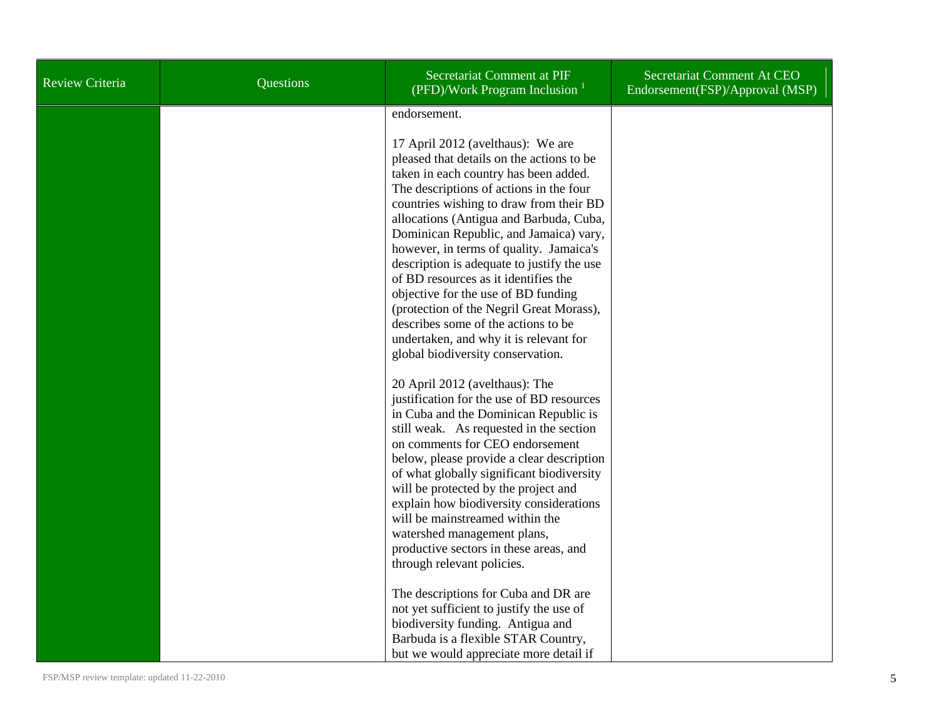| Review Criteria | Questions | Secretariat Comment at PIF<br>(PFD)/Work Program Inclusion                                                                                                                                                                                                                                                                                                                                                                                                                                                                                                                                                                                                                                                                                                                                                                                                                                                                                                                                                                                                                         | Secretariat Comment At CEO<br>Endorsement(FSP)/Approval (MSP) |
|-----------------|-----------|------------------------------------------------------------------------------------------------------------------------------------------------------------------------------------------------------------------------------------------------------------------------------------------------------------------------------------------------------------------------------------------------------------------------------------------------------------------------------------------------------------------------------------------------------------------------------------------------------------------------------------------------------------------------------------------------------------------------------------------------------------------------------------------------------------------------------------------------------------------------------------------------------------------------------------------------------------------------------------------------------------------------------------------------------------------------------------|---------------------------------------------------------------|
|                 |           | endorsement.<br>17 April 2012 (avelthaus): We are<br>pleased that details on the actions to be<br>taken in each country has been added.<br>The descriptions of actions in the four<br>countries wishing to draw from their BD<br>allocations (Antigua and Barbuda, Cuba,<br>Dominican Republic, and Jamaica) vary,<br>however, in terms of quality. Jamaica's<br>description is adequate to justify the use<br>of BD resources as it identifies the<br>objective for the use of BD funding<br>(protection of the Negril Great Morass),<br>describes some of the actions to be<br>undertaken, and why it is relevant for<br>global biodiversity conservation.<br>20 April 2012 (avelthaus): The<br>justification for the use of BD resources<br>in Cuba and the Dominican Republic is<br>still weak. As requested in the section<br>on comments for CEO endorsement<br>below, please provide a clear description<br>of what globally significant biodiversity<br>will be protected by the project and<br>explain how biodiversity considerations<br>will be mainstreamed within the |                                                               |
|                 |           | watershed management plans,<br>productive sectors in these areas, and<br>through relevant policies.                                                                                                                                                                                                                                                                                                                                                                                                                                                                                                                                                                                                                                                                                                                                                                                                                                                                                                                                                                                |                                                               |
|                 |           | The descriptions for Cuba and DR are<br>not yet sufficient to justify the use of<br>biodiversity funding. Antigua and<br>Barbuda is a flexible STAR Country,<br>but we would appreciate more detail if                                                                                                                                                                                                                                                                                                                                                                                                                                                                                                                                                                                                                                                                                                                                                                                                                                                                             |                                                               |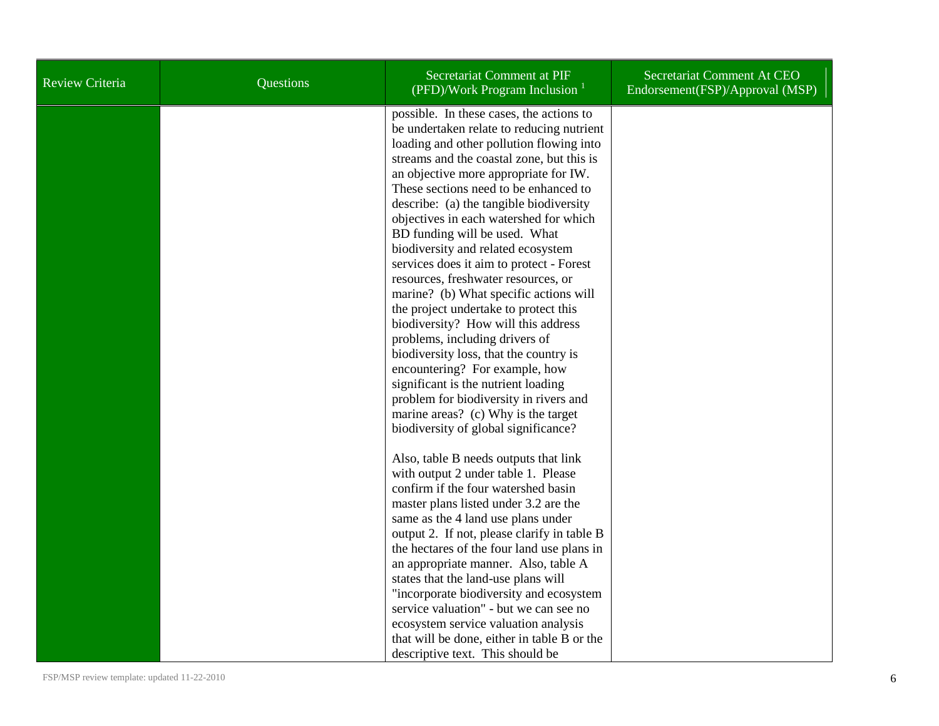| Review Criteria | Questions | Secretariat Comment at PIF<br>(PFD)/Work Program Inclusion $1$                                                                                                                                                                                                                                                                                                                                                                                                                                                                                                                                                                                                                                                                                                                                                                                                                                                          | Secretariat Comment At CEO<br>Endorsement(FSP)/Approval (MSP) |
|-----------------|-----------|-------------------------------------------------------------------------------------------------------------------------------------------------------------------------------------------------------------------------------------------------------------------------------------------------------------------------------------------------------------------------------------------------------------------------------------------------------------------------------------------------------------------------------------------------------------------------------------------------------------------------------------------------------------------------------------------------------------------------------------------------------------------------------------------------------------------------------------------------------------------------------------------------------------------------|---------------------------------------------------------------|
|                 |           | possible. In these cases, the actions to<br>be undertaken relate to reducing nutrient<br>loading and other pollution flowing into<br>streams and the coastal zone, but this is<br>an objective more appropriate for IW.<br>These sections need to be enhanced to<br>describe: (a) the tangible biodiversity<br>objectives in each watershed for which<br>BD funding will be used. What<br>biodiversity and related ecosystem<br>services does it aim to protect - Forest<br>resources, freshwater resources, or<br>marine? (b) What specific actions will<br>the project undertake to protect this<br>biodiversity? How will this address<br>problems, including drivers of<br>biodiversity loss, that the country is<br>encountering? For example, how<br>significant is the nutrient loading<br>problem for biodiversity in rivers and<br>marine areas? (c) Why is the target<br>biodiversity of global significance? |                                                               |
|                 |           | Also, table B needs outputs that link<br>with output 2 under table 1. Please<br>confirm if the four watershed basin<br>master plans listed under 3.2 are the<br>same as the 4 land use plans under<br>output 2. If not, please clarify in table B<br>the hectares of the four land use plans in<br>an appropriate manner. Also, table A<br>states that the land-use plans will<br>"incorporate biodiversity and ecosystem<br>service valuation" - but we can see no<br>ecosystem service valuation analysis<br>that will be done, either in table B or the<br>descriptive text. This should be                                                                                                                                                                                                                                                                                                                          |                                                               |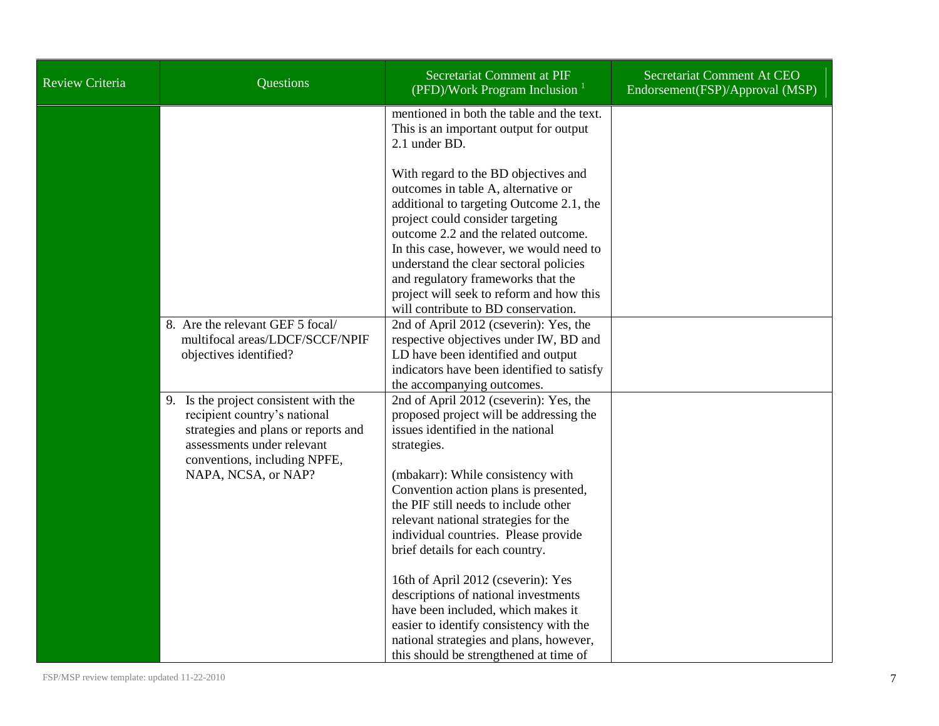| <b>Review Criteria</b> | Questions                                                                                                                                                                                         | Secretariat Comment at PIF<br>(PFD)/Work Program Inclusion $1$                                                                                                                                                                                                                                                                                                                                                                                                                                                                                | Secretariat Comment At CEO<br>Endorsement(FSP)/Approval (MSP) |
|------------------------|---------------------------------------------------------------------------------------------------------------------------------------------------------------------------------------------------|-----------------------------------------------------------------------------------------------------------------------------------------------------------------------------------------------------------------------------------------------------------------------------------------------------------------------------------------------------------------------------------------------------------------------------------------------------------------------------------------------------------------------------------------------|---------------------------------------------------------------|
|                        |                                                                                                                                                                                                   | mentioned in both the table and the text.<br>This is an important output for output<br>2.1 under BD.                                                                                                                                                                                                                                                                                                                                                                                                                                          |                                                               |
|                        |                                                                                                                                                                                                   | With regard to the BD objectives and<br>outcomes in table A, alternative or<br>additional to targeting Outcome 2.1, the<br>project could consider targeting<br>outcome 2.2 and the related outcome.<br>In this case, however, we would need to<br>understand the clear sectoral policies<br>and regulatory frameworks that the<br>project will seek to reform and how this<br>will contribute to BD conservation.                                                                                                                             |                                                               |
|                        | 8. Are the relevant GEF 5 focal/<br>multifocal areas/LDCF/SCCF/NPIF<br>objectives identified?                                                                                                     | 2nd of April 2012 (cseverin): Yes, the<br>respective objectives under IW, BD and<br>LD have been identified and output<br>indicators have been identified to satisfy<br>the accompanying outcomes.                                                                                                                                                                                                                                                                                                                                            |                                                               |
|                        | 9. Is the project consistent with the<br>recipient country's national<br>strategies and plans or reports and<br>assessments under relevant<br>conventions, including NPFE,<br>NAPA, NCSA, or NAP? | 2nd of April 2012 (cseverin): Yes, the<br>proposed project will be addressing the<br>issues identified in the national<br>strategies.<br>(mbakarr): While consistency with<br>Convention action plans is presented,<br>the PIF still needs to include other<br>relevant national strategies for the<br>individual countries. Please provide<br>brief details for each country.<br>16th of April 2012 (cseverin): Yes<br>descriptions of national investments<br>have been included, which makes it<br>easier to identify consistency with the |                                                               |
|                        |                                                                                                                                                                                                   | national strategies and plans, however,<br>this should be strengthened at time of                                                                                                                                                                                                                                                                                                                                                                                                                                                             |                                                               |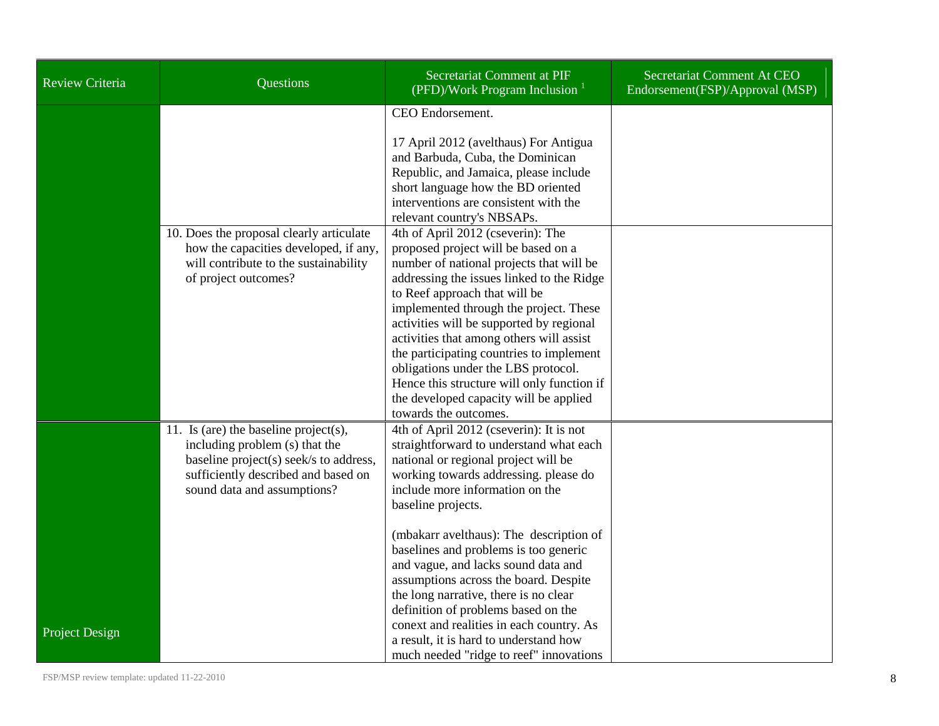| <b>Review Criteria</b> | Questions                                                                                                                                                                               | Secretariat Comment at PIF<br>(PFD)/Work Program Inclusion $1$                                                                                                                                                                                                                                                                                                                                                                                                                                                                           | Secretariat Comment At CEO<br>Endorsement(FSP)/Approval (MSP) |
|------------------------|-----------------------------------------------------------------------------------------------------------------------------------------------------------------------------------------|------------------------------------------------------------------------------------------------------------------------------------------------------------------------------------------------------------------------------------------------------------------------------------------------------------------------------------------------------------------------------------------------------------------------------------------------------------------------------------------------------------------------------------------|---------------------------------------------------------------|
|                        |                                                                                                                                                                                         | CEO Endorsement.<br>17 April 2012 (avelthaus) For Antigua<br>and Barbuda, Cuba, the Dominican<br>Republic, and Jamaica, please include<br>short language how the BD oriented<br>interventions are consistent with the<br>relevant country's NBSAPs.                                                                                                                                                                                                                                                                                      |                                                               |
|                        | 10. Does the proposal clearly articulate<br>how the capacities developed, if any,<br>will contribute to the sustainability<br>of project outcomes?                                      | 4th of April 2012 (cseverin): The<br>proposed project will be based on a<br>number of national projects that will be<br>addressing the issues linked to the Ridge<br>to Reef approach that will be<br>implemented through the project. These<br>activities will be supported by regional<br>activities that among others will assist<br>the participating countries to implement<br>obligations under the LBS protocol.<br>Hence this structure will only function if<br>the developed capacity will be applied<br>towards the outcomes. |                                                               |
|                        | 11. Is (are) the baseline project(s),<br>including problem (s) that the<br>baseline project(s) seek/s to address,<br>sufficiently described and based on<br>sound data and assumptions? | 4th of April 2012 (cseverin): It is not<br>straightforward to understand what each<br>national or regional project will be<br>working towards addressing. please do<br>include more information on the<br>baseline projects.<br>(mbakarr avelthaus): The description of<br>baselines and problems is too generic<br>and vague, and lacks sound data and<br>assumptions across the board. Despite<br>the long narrative, there is no clear<br>definition of problems based on the<br>conext and realities in each country. As             |                                                               |
| Project Design         |                                                                                                                                                                                         | a result, it is hard to understand how<br>much needed "ridge to reef" innovations                                                                                                                                                                                                                                                                                                                                                                                                                                                        |                                                               |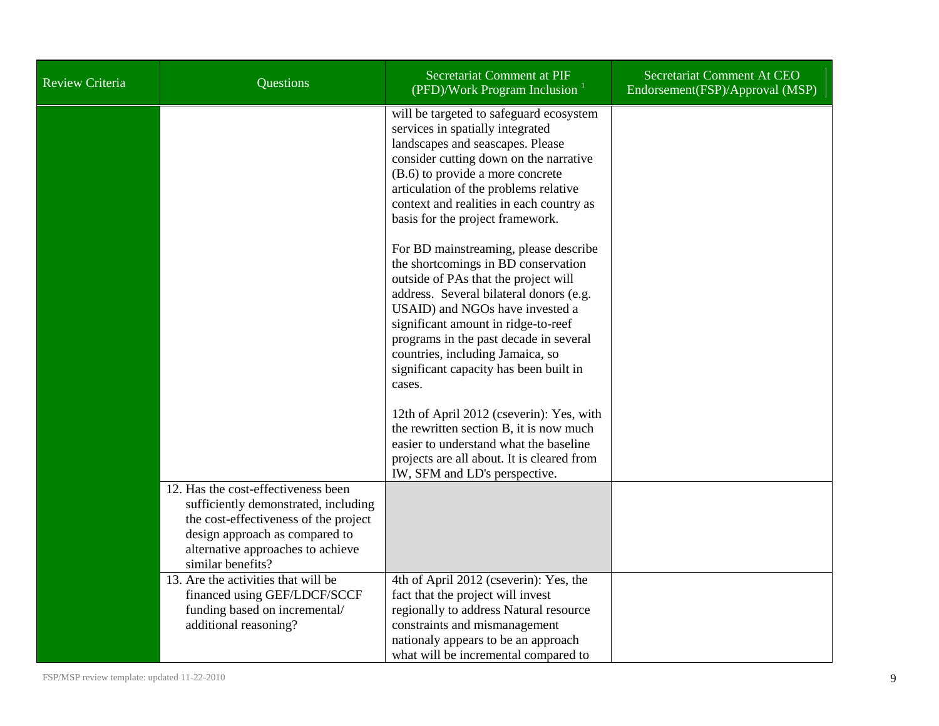| <b>Review Criteria</b> | Questions                                                                                                                                                                                                        | Secretariat Comment at PIF<br>(PFD)/Work Program Inclusion $1$                                                                                                                                                                                                                                                                                                              | Secretariat Comment At CEO<br>Endorsement (FSP)/Approval (MSP) |
|------------------------|------------------------------------------------------------------------------------------------------------------------------------------------------------------------------------------------------------------|-----------------------------------------------------------------------------------------------------------------------------------------------------------------------------------------------------------------------------------------------------------------------------------------------------------------------------------------------------------------------------|----------------------------------------------------------------|
|                        |                                                                                                                                                                                                                  | will be targeted to safeguard ecosystem<br>services in spatially integrated<br>landscapes and seascapes. Please<br>consider cutting down on the narrative<br>(B.6) to provide a more concrete<br>articulation of the problems relative<br>context and realities in each country as<br>basis for the project framework.                                                      |                                                                |
|                        |                                                                                                                                                                                                                  | For BD mainstreaming, please describe<br>the shortcomings in BD conservation<br>outside of PAs that the project will<br>address. Several bilateral donors (e.g.<br>USAID) and NGOs have invested a<br>significant amount in ridge-to-reef<br>programs in the past decade in several<br>countries, including Jamaica, so<br>significant capacity has been built in<br>cases. |                                                                |
|                        |                                                                                                                                                                                                                  | 12th of April 2012 (cseverin): Yes, with<br>the rewritten section B, it is now much<br>easier to understand what the baseline<br>projects are all about. It is cleared from<br>IW, SFM and LD's perspective.                                                                                                                                                                |                                                                |
|                        | 12. Has the cost-effectiveness been<br>sufficiently demonstrated, including<br>the cost-effectiveness of the project<br>design approach as compared to<br>alternative approaches to achieve<br>similar benefits? |                                                                                                                                                                                                                                                                                                                                                                             |                                                                |
|                        | 13. Are the activities that will be<br>financed using GEF/LDCF/SCCF<br>funding based on incremental/<br>additional reasoning?                                                                                    | 4th of April 2012 (cseverin): Yes, the<br>fact that the project will invest<br>regionally to address Natural resource<br>constraints and mismanagement<br>nationaly appears to be an approach<br>what will be incremental compared to                                                                                                                                       |                                                                |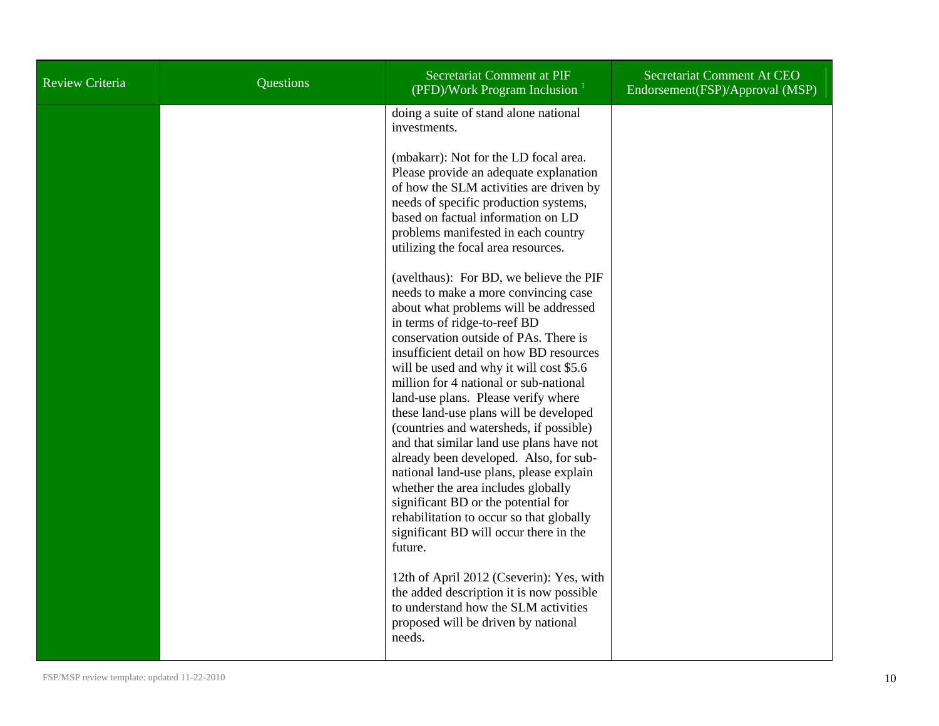| <b>Review Criteria</b> | Questions | Secretariat Comment at PIF<br>(PFD)/Work Program Inclusion                                                                                                                                                                                                                                                                                                                                                                                                                                                                                                                                                                                                                                                                                                                                                                                                                                                                                                                                                                                                                                                                                                                                                                                                                                                        | Secretariat Comment At CEO<br>Endorsement (FSP)/Approval (MSP) |
|------------------------|-----------|-------------------------------------------------------------------------------------------------------------------------------------------------------------------------------------------------------------------------------------------------------------------------------------------------------------------------------------------------------------------------------------------------------------------------------------------------------------------------------------------------------------------------------------------------------------------------------------------------------------------------------------------------------------------------------------------------------------------------------------------------------------------------------------------------------------------------------------------------------------------------------------------------------------------------------------------------------------------------------------------------------------------------------------------------------------------------------------------------------------------------------------------------------------------------------------------------------------------------------------------------------------------------------------------------------------------|----------------------------------------------------------------|
|                        |           | doing a suite of stand alone national<br>investments.<br>(mbakarr): Not for the LD focal area.<br>Please provide an adequate explanation<br>of how the SLM activities are driven by<br>needs of specific production systems,<br>based on factual information on LD<br>problems manifested in each country<br>utilizing the focal area resources.<br>(avelthaus): For BD, we believe the PIF<br>needs to make a more convincing case<br>about what problems will be addressed<br>in terms of ridge-to-reef BD<br>conservation outside of PAs. There is<br>insufficient detail on how BD resources<br>will be used and why it will cost \$5.6<br>million for 4 national or sub-national<br>land-use plans. Please verify where<br>these land-use plans will be developed<br>(countries and watersheds, if possible)<br>and that similar land use plans have not<br>already been developed. Also, for sub-<br>national land-use plans, please explain<br>whether the area includes globally<br>significant BD or the potential for<br>rehabilitation to occur so that globally<br>significant BD will occur there in the<br>future.<br>12th of April 2012 (Cseverin): Yes, with<br>the added description it is now possible<br>to understand how the SLM activities<br>proposed will be driven by national<br>needs. |                                                                |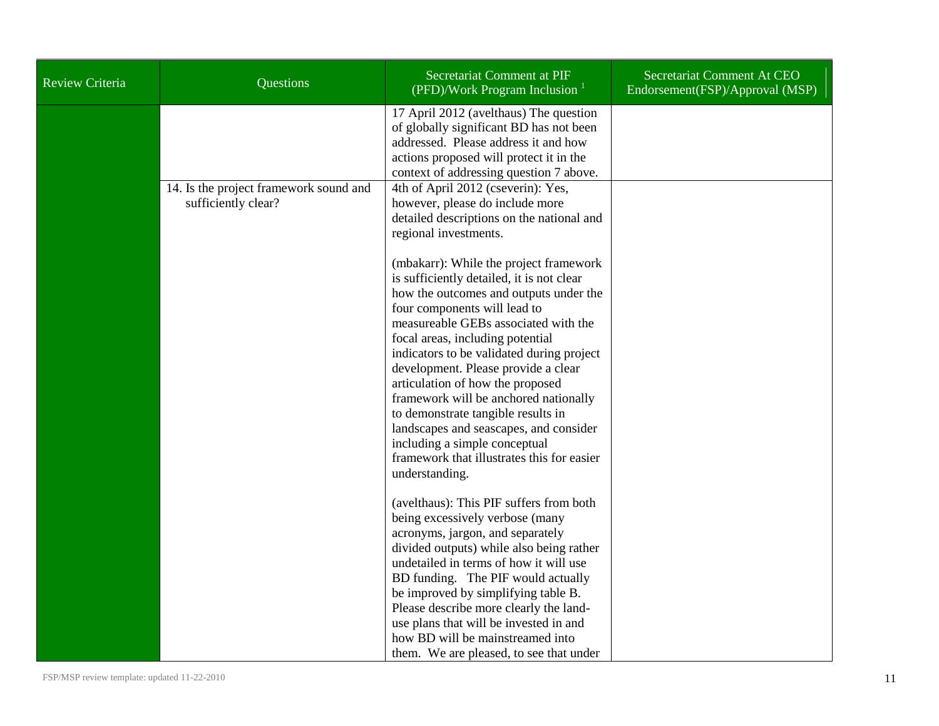| Review Criteria | <b>Questions</b>                                              | Secretariat Comment at PIF<br>(PFD)/Work Program Inclusion $1$                                                                                                                                                                                                                                                                                                                                                                                                                                                                                                            | Secretariat Comment At CEO<br>Endorsement(FSP)/Approval (MSP) |
|-----------------|---------------------------------------------------------------|---------------------------------------------------------------------------------------------------------------------------------------------------------------------------------------------------------------------------------------------------------------------------------------------------------------------------------------------------------------------------------------------------------------------------------------------------------------------------------------------------------------------------------------------------------------------------|---------------------------------------------------------------|
|                 |                                                               | 17 April 2012 (avelthaus) The question<br>of globally significant BD has not been<br>addressed. Please address it and how<br>actions proposed will protect it in the<br>context of addressing question 7 above.                                                                                                                                                                                                                                                                                                                                                           |                                                               |
|                 | 14. Is the project framework sound and<br>sufficiently clear? | 4th of April 2012 (cseverin): Yes,<br>however, please do include more<br>detailed descriptions on the national and<br>regional investments.                                                                                                                                                                                                                                                                                                                                                                                                                               |                                                               |
|                 |                                                               | (mbakarr): While the project framework<br>is sufficiently detailed, it is not clear<br>how the outcomes and outputs under the<br>four components will lead to<br>measureable GEBs associated with the<br>focal areas, including potential<br>indicators to be validated during project<br>development. Please provide a clear<br>articulation of how the proposed<br>framework will be anchored nationally<br>to demonstrate tangible results in<br>landscapes and seascapes, and consider<br>including a simple conceptual<br>framework that illustrates this for easier |                                                               |
|                 |                                                               | understanding.<br>(avelthaus): This PIF suffers from both<br>being excessively verbose (many<br>acronyms, jargon, and separately<br>divided outputs) while also being rather<br>undetailed in terms of how it will use<br>BD funding. The PIF would actually<br>be improved by simplifying table B.<br>Please describe more clearly the land-<br>use plans that will be invested in and<br>how BD will be mainstreamed into<br>them. We are pleased, to see that under                                                                                                    |                                                               |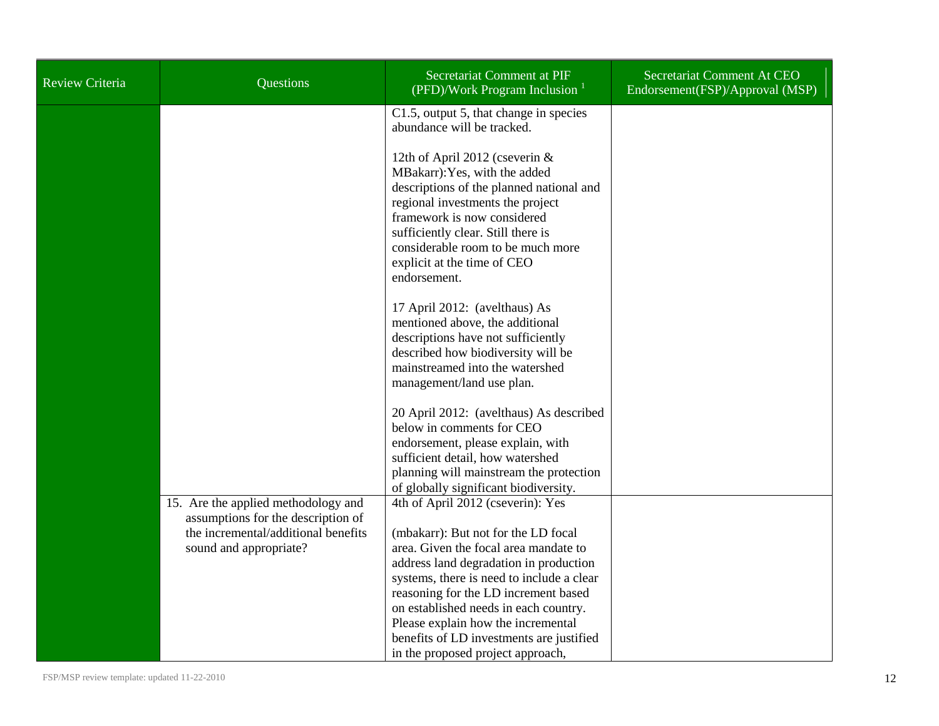| <b>Review Criteria</b> | Questions                                                                                                                                  | Secretariat Comment at PIF<br>(PFD)/Work Program Inclusion $1$                                                                                                                                                                                                                                                                                                                                                   | Secretariat Comment At CEO<br>Endorsement(FSP)/Approval (MSP) |
|------------------------|--------------------------------------------------------------------------------------------------------------------------------------------|------------------------------------------------------------------------------------------------------------------------------------------------------------------------------------------------------------------------------------------------------------------------------------------------------------------------------------------------------------------------------------------------------------------|---------------------------------------------------------------|
|                        |                                                                                                                                            | C1.5, output 5, that change in species<br>abundance will be tracked.                                                                                                                                                                                                                                                                                                                                             |                                                               |
|                        |                                                                                                                                            | 12th of April 2012 (cseverin &<br>MBakarr): Yes, with the added<br>descriptions of the planned national and<br>regional investments the project<br>framework is now considered<br>sufficiently clear. Still there is<br>considerable room to be much more<br>explicit at the time of CEO<br>endorsement.                                                                                                         |                                                               |
|                        |                                                                                                                                            | 17 April 2012: (avelthaus) As<br>mentioned above, the additional<br>descriptions have not sufficiently<br>described how biodiversity will be<br>mainstreamed into the watershed<br>management/land use plan.                                                                                                                                                                                                     |                                                               |
|                        |                                                                                                                                            | 20 April 2012: (avelthaus) As described<br>below in comments for CEO<br>endorsement, please explain, with<br>sufficient detail, how watershed<br>planning will mainstream the protection<br>of globally significant biodiversity.                                                                                                                                                                                |                                                               |
|                        | 15. Are the applied methodology and<br>assumptions for the description of<br>the incremental/additional benefits<br>sound and appropriate? | 4th of April 2012 (cseverin): Yes<br>(mbakarr): But not for the LD focal<br>area. Given the focal area mandate to<br>address land degradation in production<br>systems, there is need to include a clear<br>reasoning for the LD increment based<br>on established needs in each country.<br>Please explain how the incremental<br>benefits of LD investments are justified<br>in the proposed project approach, |                                                               |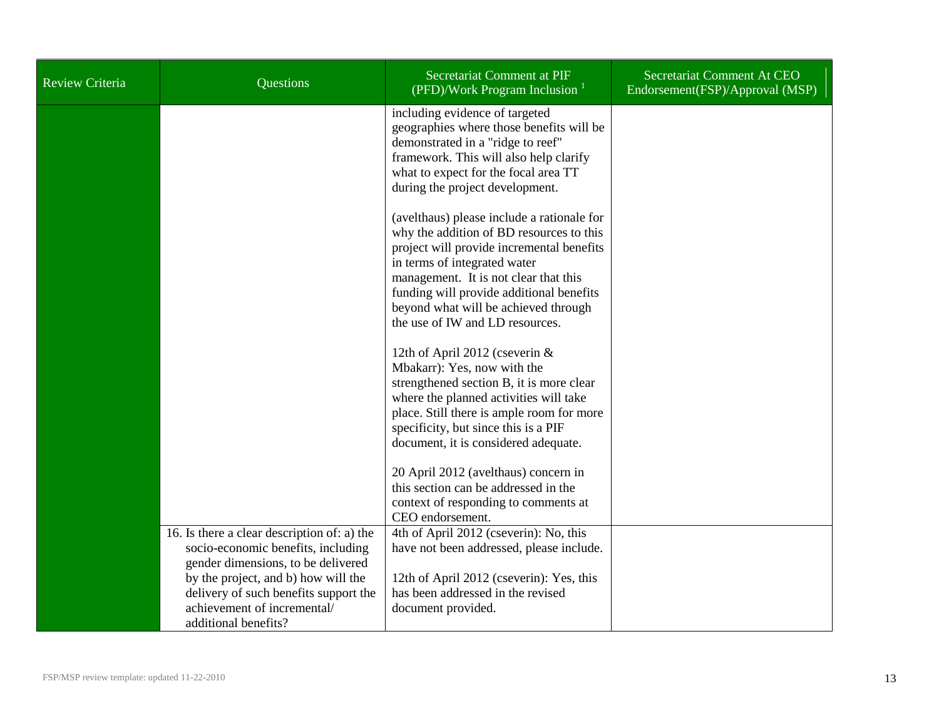| <b>Review Criteria</b> | <b>Questions</b>                                                                                                                                                                                                                                               | Secretariat Comment at PIF<br>(PFD)/Work Program Inclusion $1$                                                                                                                                                                                                                                                                      | Secretariat Comment At CEO<br>Endorsement(FSP)/Approval (MSP) |
|------------------------|----------------------------------------------------------------------------------------------------------------------------------------------------------------------------------------------------------------------------------------------------------------|-------------------------------------------------------------------------------------------------------------------------------------------------------------------------------------------------------------------------------------------------------------------------------------------------------------------------------------|---------------------------------------------------------------|
|                        |                                                                                                                                                                                                                                                                | including evidence of targeted<br>geographies where those benefits will be<br>demonstrated in a "ridge to reef"<br>framework. This will also help clarify<br>what to expect for the focal area TT<br>during the project development.                                                                                                |                                                               |
|                        |                                                                                                                                                                                                                                                                | (avelthaus) please include a rationale for<br>why the addition of BD resources to this<br>project will provide incremental benefits<br>in terms of integrated water<br>management. It is not clear that this<br>funding will provide additional benefits<br>beyond what will be achieved through<br>the use of IW and LD resources. |                                                               |
|                        |                                                                                                                                                                                                                                                                | 12th of April 2012 (cseverin &<br>Mbakarr): Yes, now with the<br>strengthened section B, it is more clear<br>where the planned activities will take<br>place. Still there is ample room for more<br>specificity, but since this is a PIF<br>document, it is considered adequate.                                                    |                                                               |
|                        |                                                                                                                                                                                                                                                                | 20 April 2012 (avelthaus) concern in<br>this section can be addressed in the<br>context of responding to comments at<br>CEO endorsement.                                                                                                                                                                                            |                                                               |
|                        | 16. Is there a clear description of: a) the<br>socio-economic benefits, including<br>gender dimensions, to be delivered<br>by the project, and b) how will the<br>delivery of such benefits support the<br>achievement of incremental/<br>additional benefits? | 4th of April 2012 (cseverin): No, this<br>have not been addressed, please include.<br>12th of April 2012 (cseverin): Yes, this<br>has been addressed in the revised<br>document provided.                                                                                                                                           |                                                               |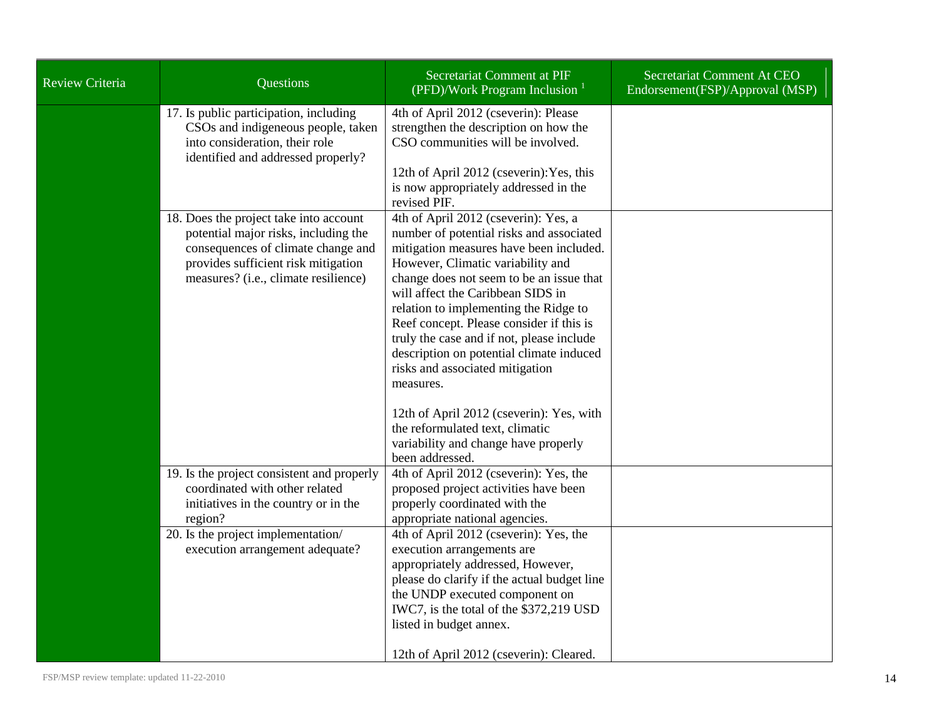| Review Criteria | Questions                                                                                                                                                                                           | Secretariat Comment at PIF<br>(PFD)/Work Program Inclusion                                                                                                                                                                                                                                                                                                                                                                                                                                                                                                                                                                | Secretariat Comment At CEO<br>Endorsement(FSP)/Approval (MSP) |
|-----------------|-----------------------------------------------------------------------------------------------------------------------------------------------------------------------------------------------------|---------------------------------------------------------------------------------------------------------------------------------------------------------------------------------------------------------------------------------------------------------------------------------------------------------------------------------------------------------------------------------------------------------------------------------------------------------------------------------------------------------------------------------------------------------------------------------------------------------------------------|---------------------------------------------------------------|
|                 | 17. Is public participation, including<br>CSOs and indigeneous people, taken<br>into consideration, their role<br>identified and addressed properly?                                                | 4th of April 2012 (cseverin): Please<br>strengthen the description on how the<br>CSO communities will be involved.<br>12th of April 2012 (cseverin): Yes, this<br>is now appropriately addressed in the<br>revised PIF.                                                                                                                                                                                                                                                                                                                                                                                                   |                                                               |
|                 | 18. Does the project take into account<br>potential major risks, including the<br>consequences of climate change and<br>provides sufficient risk mitigation<br>measures? (i.e., climate resilience) | 4th of April 2012 (cseverin): Yes, a<br>number of potential risks and associated<br>mitigation measures have been included.<br>However, Climatic variability and<br>change does not seem to be an issue that<br>will affect the Caribbean SIDS in<br>relation to implementing the Ridge to<br>Reef concept. Please consider if this is<br>truly the case and if not, please include<br>description on potential climate induced<br>risks and associated mitigation<br>measures.<br>12th of April 2012 (cseverin): Yes, with<br>the reformulated text, climatic<br>variability and change have properly<br>been addressed. |                                                               |
|                 | 19. Is the project consistent and properly<br>coordinated with other related<br>initiatives in the country or in the<br>region?                                                                     | 4th of April 2012 (cseverin): Yes, the<br>proposed project activities have been<br>properly coordinated with the<br>appropriate national agencies.                                                                                                                                                                                                                                                                                                                                                                                                                                                                        |                                                               |
|                 | 20. Is the project implementation/<br>execution arrangement adequate?                                                                                                                               | 4th of April 2012 (cseverin): Yes, the<br>execution arrangements are<br>appropriately addressed, However,<br>please do clarify if the actual budget line<br>the UNDP executed component on<br>IWC7, is the total of the \$372,219 USD<br>listed in budget annex.<br>12th of April 2012 (cseverin): Cleared.                                                                                                                                                                                                                                                                                                               |                                                               |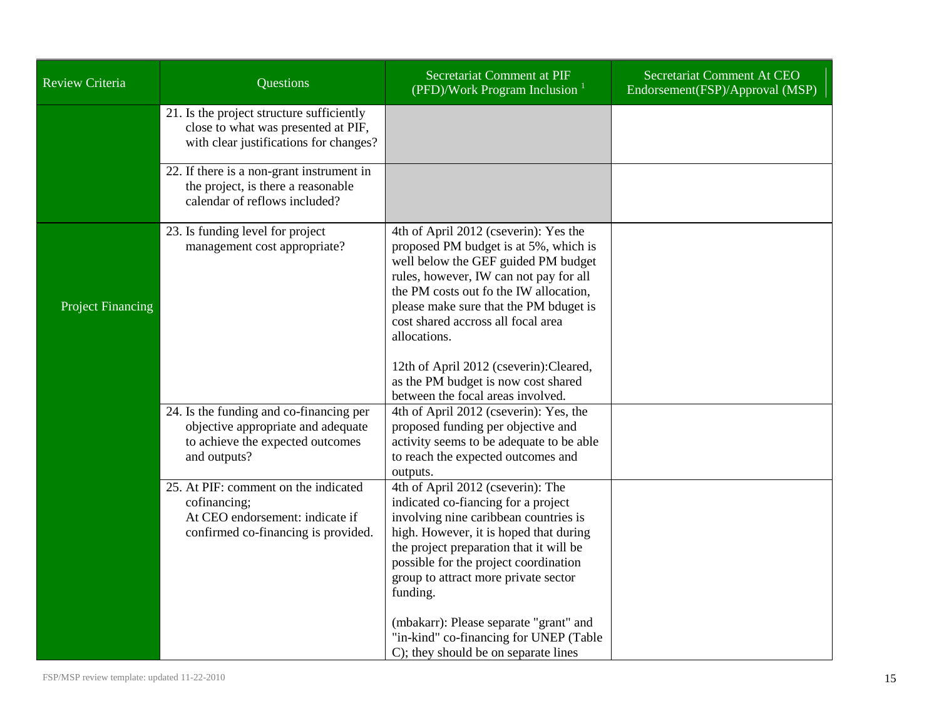| <b>Review Criteria</b>   | Questions                                                                                                                         | Secretariat Comment at PIF<br>(PFD)/Work Program Inclusion $1$                                                                                                                                                                                                                                                                                                                          | Secretariat Comment At CEO<br>Endorsement(FSP)/Approval (MSP) |
|--------------------------|-----------------------------------------------------------------------------------------------------------------------------------|-----------------------------------------------------------------------------------------------------------------------------------------------------------------------------------------------------------------------------------------------------------------------------------------------------------------------------------------------------------------------------------------|---------------------------------------------------------------|
|                          | 21. Is the project structure sufficiently<br>close to what was presented at PIF,<br>with clear justifications for changes?        |                                                                                                                                                                                                                                                                                                                                                                                         |                                                               |
|                          | 22. If there is a non-grant instrument in<br>the project, is there a reasonable<br>calendar of reflows included?                  |                                                                                                                                                                                                                                                                                                                                                                                         |                                                               |
| <b>Project Financing</b> | 23. Is funding level for project<br>management cost appropriate?                                                                  | 4th of April 2012 (cseverin): Yes the<br>proposed PM budget is at 5%, which is<br>well below the GEF guided PM budget<br>rules, however, IW can not pay for all<br>the PM costs out fo the IW allocation,<br>please make sure that the PM bduget is<br>cost shared accross all focal area<br>allocations.                                                                               |                                                               |
|                          | 24. Is the funding and co-financing per<br>objective appropriate and adequate<br>to achieve the expected outcomes<br>and outputs? | 12th of April 2012 (cseverin): Cleared,<br>as the PM budget is now cost shared<br>between the focal areas involved.<br>4th of April 2012 (cseverin): Yes, the<br>proposed funding per objective and<br>activity seems to be adequate to be able<br>to reach the expected outcomes and<br>outputs.                                                                                       |                                                               |
|                          | 25. At PIF: comment on the indicated<br>cofinancing;<br>At CEO endorsement: indicate if<br>confirmed co-financing is provided.    | 4th of April 2012 (cseverin): The<br>indicated co-fiancing for a project<br>involving nine caribbean countries is<br>high. However, it is hoped that during<br>the project preparation that it will be<br>possible for the project coordination<br>group to attract more private sector<br>funding.<br>(mbakarr): Please separate "grant" and<br>"in-kind" co-financing for UNEP (Table |                                                               |
|                          |                                                                                                                                   | C); they should be on separate lines                                                                                                                                                                                                                                                                                                                                                    |                                                               |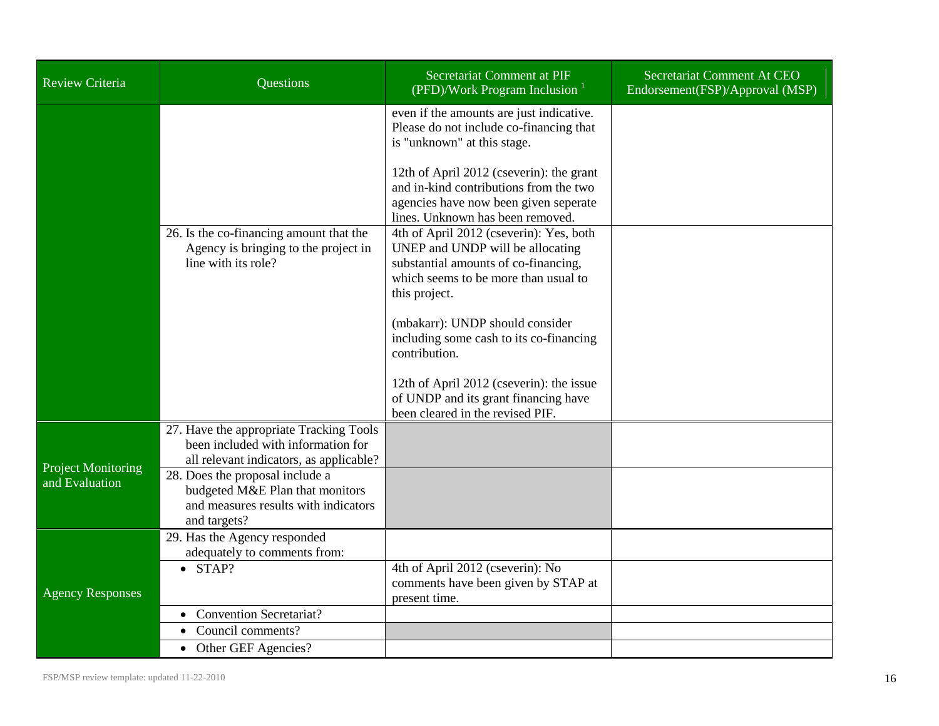| Review Criteria           | <b>Questions</b>                                                                                                           | Secretariat Comment at PIF<br>(PFD)/Work Program Inclusion                                                                                                                   | Secretariat Comment At CEO<br>Endorsement(FSP)/Approval (MSP) |
|---------------------------|----------------------------------------------------------------------------------------------------------------------------|------------------------------------------------------------------------------------------------------------------------------------------------------------------------------|---------------------------------------------------------------|
|                           |                                                                                                                            | even if the amounts are just indicative.<br>Please do not include co-financing that<br>is "unknown" at this stage.                                                           |                                                               |
|                           |                                                                                                                            | 12th of April 2012 (cseverin): the grant<br>and in-kind contributions from the two<br>agencies have now been given seperate<br>lines. Unknown has been removed.              |                                                               |
|                           | 26. Is the co-financing amount that the<br>Agency is bringing to the project in<br>line with its role?                     | 4th of April 2012 (cseverin): Yes, both<br>UNEP and UNDP will be allocating<br>substantial amounts of co-financing,<br>which seems to be more than usual to<br>this project. |                                                               |
|                           |                                                                                                                            | (mbakarr): UNDP should consider<br>including some cash to its co-financing<br>contribution.                                                                                  |                                                               |
|                           |                                                                                                                            | 12th of April 2012 (cseverin): the issue<br>of UNDP and its grant financing have<br>been cleared in the revised PIF.                                                         |                                                               |
| <b>Project Monitoring</b> | 27. Have the appropriate Tracking Tools<br>been included with information for<br>all relevant indicators, as applicable?   |                                                                                                                                                                              |                                                               |
| and Evaluation            | 28. Does the proposal include a<br>budgeted M&E Plan that monitors<br>and measures results with indicators<br>and targets? |                                                                                                                                                                              |                                                               |
|                           | 29. Has the Agency responded<br>adequately to comments from:                                                               |                                                                                                                                                                              |                                                               |
| <b>Agency Responses</b>   | $\bullet$ STAP?                                                                                                            | 4th of April 2012 (cseverin): No<br>comments have been given by STAP at<br>present time.                                                                                     |                                                               |
|                           | <b>Convention Secretariat?</b>                                                                                             |                                                                                                                                                                              |                                                               |
|                           | Council comments?<br>Other GEF Agencies?<br>$\bullet$                                                                      |                                                                                                                                                                              |                                                               |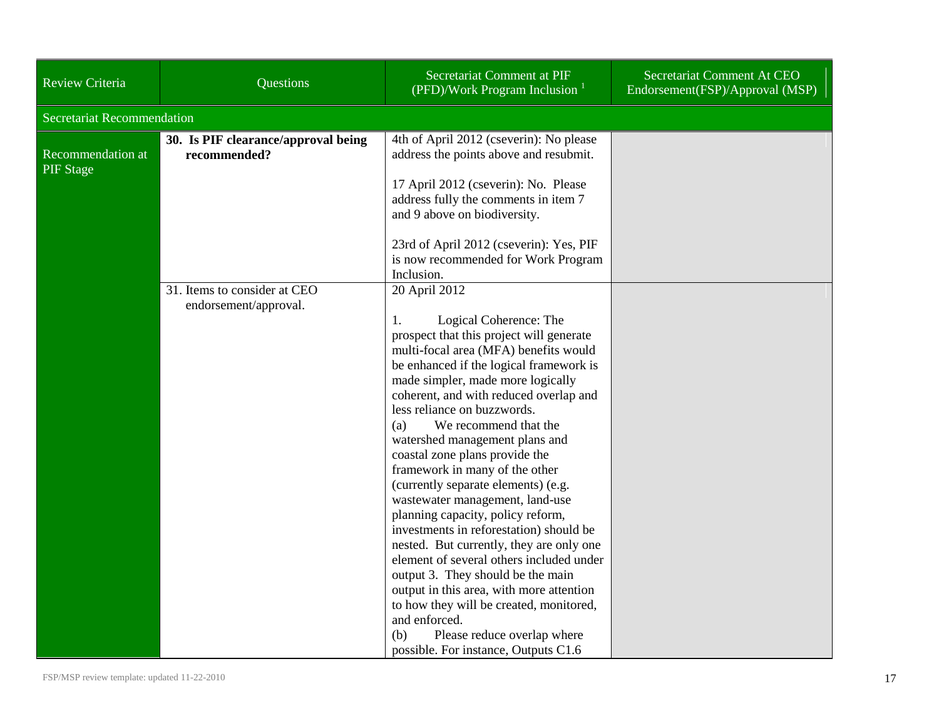| Review Criteria                       | Questions                                             | Secretariat Comment at PIF<br>(PFD)/Work Program Inclusion <sup>1</sup>                                                                                                                                                                                                                                                                                                                                                                                                                                                                                                                                                                                                                                                                                                                                                                                                                                        | Secretariat Comment At CEO<br>Endorsement(FSP)/Approval (MSP) |
|---------------------------------------|-------------------------------------------------------|----------------------------------------------------------------------------------------------------------------------------------------------------------------------------------------------------------------------------------------------------------------------------------------------------------------------------------------------------------------------------------------------------------------------------------------------------------------------------------------------------------------------------------------------------------------------------------------------------------------------------------------------------------------------------------------------------------------------------------------------------------------------------------------------------------------------------------------------------------------------------------------------------------------|---------------------------------------------------------------|
| <b>Secretariat Recommendation</b>     |                                                       |                                                                                                                                                                                                                                                                                                                                                                                                                                                                                                                                                                                                                                                                                                                                                                                                                                                                                                                |                                                               |
| Recommendation at<br><b>PIF</b> Stage | 30. Is PIF clearance/approval being<br>recommended?   | 4th of April 2012 (cseverin): No please<br>address the points above and resubmit.                                                                                                                                                                                                                                                                                                                                                                                                                                                                                                                                                                                                                                                                                                                                                                                                                              |                                                               |
|                                       |                                                       | 17 April 2012 (cseverin): No. Please<br>address fully the comments in item 7<br>and 9 above on biodiversity.                                                                                                                                                                                                                                                                                                                                                                                                                                                                                                                                                                                                                                                                                                                                                                                                   |                                                               |
|                                       |                                                       | 23rd of April 2012 (cseverin): Yes, PIF<br>is now recommended for Work Program<br>Inclusion.                                                                                                                                                                                                                                                                                                                                                                                                                                                                                                                                                                                                                                                                                                                                                                                                                   |                                                               |
|                                       | 31. Items to consider at CEO<br>endorsement/approval. | 20 April 2012<br>1.<br>Logical Coherence: The<br>prospect that this project will generate<br>multi-focal area (MFA) benefits would<br>be enhanced if the logical framework is<br>made simpler, made more logically<br>coherent, and with reduced overlap and<br>less reliance on buzzwords.<br>We recommend that the<br>(a)<br>watershed management plans and<br>coastal zone plans provide the<br>framework in many of the other<br>(currently separate elements) (e.g.<br>wastewater management, land-use<br>planning capacity, policy reform,<br>investments in reforestation) should be<br>nested. But currently, they are only one<br>element of several others included under<br>output 3. They should be the main<br>output in this area, with more attention<br>to how they will be created, monitored,<br>and enforced.<br>(b)<br>Please reduce overlap where<br>possible. For instance, Outputs C1.6 |                                                               |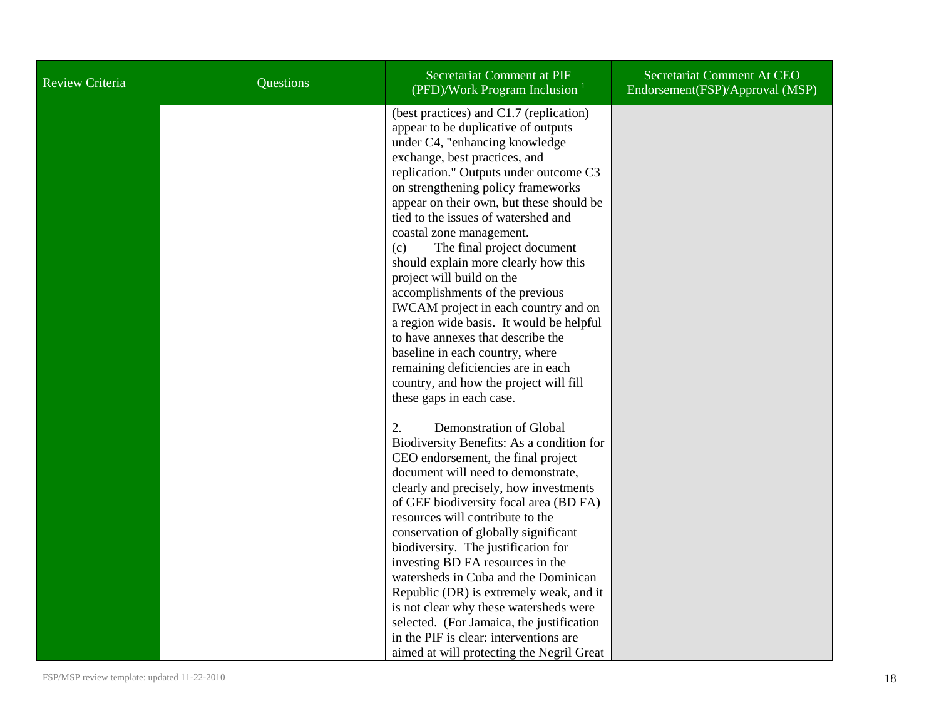| Review Criteria | Questions | Secretariat Comment at PIF<br>(PFD)/Work Program Inclusion $1$                                                                                                                                                                                                                                                                                                                                                                                                                                                                                                                                                                                                                                                                                                        | Secretariat Comment At CEO<br>Endorsement(FSP)/Approval (MSP) |
|-----------------|-----------|-----------------------------------------------------------------------------------------------------------------------------------------------------------------------------------------------------------------------------------------------------------------------------------------------------------------------------------------------------------------------------------------------------------------------------------------------------------------------------------------------------------------------------------------------------------------------------------------------------------------------------------------------------------------------------------------------------------------------------------------------------------------------|---------------------------------------------------------------|
|                 |           | (best practices) and C1.7 (replication)<br>appear to be duplicative of outputs<br>under C4, "enhancing knowledge<br>exchange, best practices, and<br>replication." Outputs under outcome C3<br>on strengthening policy frameworks<br>appear on their own, but these should be<br>tied to the issues of watershed and<br>coastal zone management.<br>The final project document<br>(c)<br>should explain more clearly how this<br>project will build on the<br>accomplishments of the previous<br>IWCAM project in each country and on<br>a region wide basis. It would be helpful<br>to have annexes that describe the<br>baseline in each country, where<br>remaining deficiencies are in each<br>country, and how the project will fill<br>these gaps in each case. |                                                               |
|                 |           | 2.<br>Demonstration of Global<br>Biodiversity Benefits: As a condition for<br>CEO endorsement, the final project<br>document will need to demonstrate,<br>clearly and precisely, how investments<br>of GEF biodiversity focal area (BD FA)<br>resources will contribute to the<br>conservation of globally significant<br>biodiversity. The justification for<br>investing BD FA resources in the<br>watersheds in Cuba and the Dominican<br>Republic (DR) is extremely weak, and it<br>is not clear why these watersheds were<br>selected. (For Jamaica, the justification<br>in the PIF is clear: interventions are<br>aimed at will protecting the Negril Great                                                                                                    |                                                               |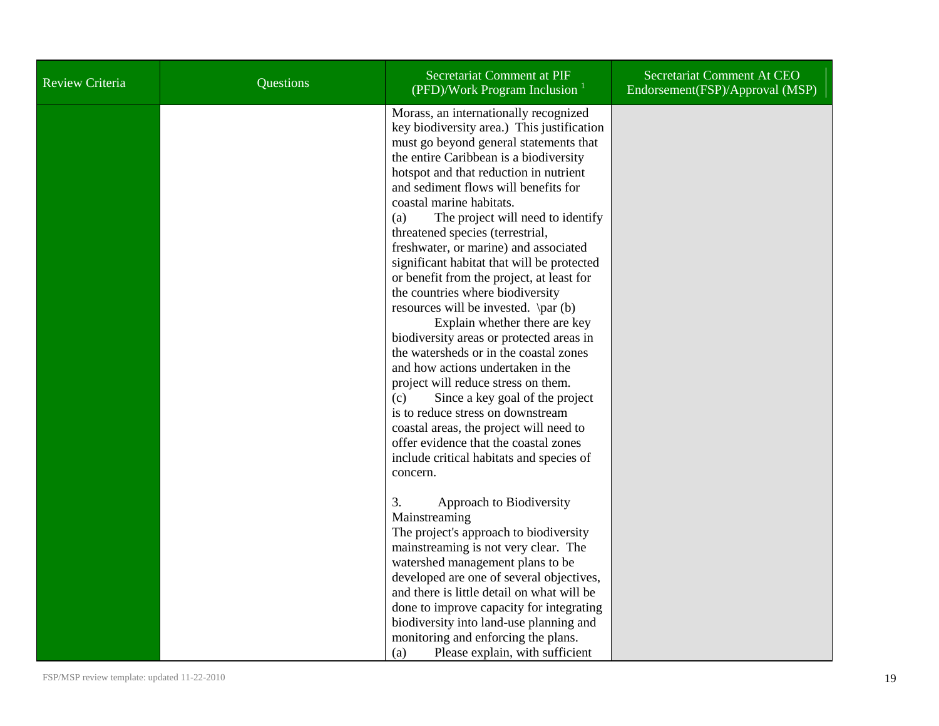| <b>Review Criteria</b> | <b>Questions</b> | Secretariat Comment at PIF<br>(PFD)/Work Program Inclusion $1$                                                                                                                                                                                                                                                                                                                                                                                                                                                                                                                                                                                                                                                                                                                                                                                                                                                                                                                                                                | Secretariat Comment At CEO<br>Endorsement(FSP)/Approval (MSP) |
|------------------------|------------------|-------------------------------------------------------------------------------------------------------------------------------------------------------------------------------------------------------------------------------------------------------------------------------------------------------------------------------------------------------------------------------------------------------------------------------------------------------------------------------------------------------------------------------------------------------------------------------------------------------------------------------------------------------------------------------------------------------------------------------------------------------------------------------------------------------------------------------------------------------------------------------------------------------------------------------------------------------------------------------------------------------------------------------|---------------------------------------------------------------|
|                        |                  | Morass, an internationally recognized<br>key biodiversity area.) This justification<br>must go beyond general statements that<br>the entire Caribbean is a biodiversity<br>hotspot and that reduction in nutrient<br>and sediment flows will benefits for<br>coastal marine habitats.<br>The project will need to identify<br>(a)<br>threatened species (terrestrial,<br>freshwater, or marine) and associated<br>significant habitat that will be protected<br>or benefit from the project, at least for<br>the countries where biodiversity<br>resources will be invested. $\parrow$ \par (b)<br>Explain whether there are key<br>biodiversity areas or protected areas in<br>the watersheds or in the coastal zones<br>and how actions undertaken in the<br>project will reduce stress on them.<br>Since a key goal of the project<br>(c)<br>is to reduce stress on downstream<br>coastal areas, the project will need to<br>offer evidence that the coastal zones<br>include critical habitats and species of<br>concern. |                                                               |
|                        |                  | 3.<br>Approach to Biodiversity<br>Mainstreaming<br>The project's approach to biodiversity<br>mainstreaming is not very clear. The                                                                                                                                                                                                                                                                                                                                                                                                                                                                                                                                                                                                                                                                                                                                                                                                                                                                                             |                                                               |
|                        |                  | watershed management plans to be<br>developed are one of several objectives,<br>and there is little detail on what will be                                                                                                                                                                                                                                                                                                                                                                                                                                                                                                                                                                                                                                                                                                                                                                                                                                                                                                    |                                                               |
|                        |                  | done to improve capacity for integrating<br>biodiversity into land-use planning and                                                                                                                                                                                                                                                                                                                                                                                                                                                                                                                                                                                                                                                                                                                                                                                                                                                                                                                                           |                                                               |
|                        |                  | monitoring and enforcing the plans.<br>Please explain, with sufficient<br>(a)                                                                                                                                                                                                                                                                                                                                                                                                                                                                                                                                                                                                                                                                                                                                                                                                                                                                                                                                                 |                                                               |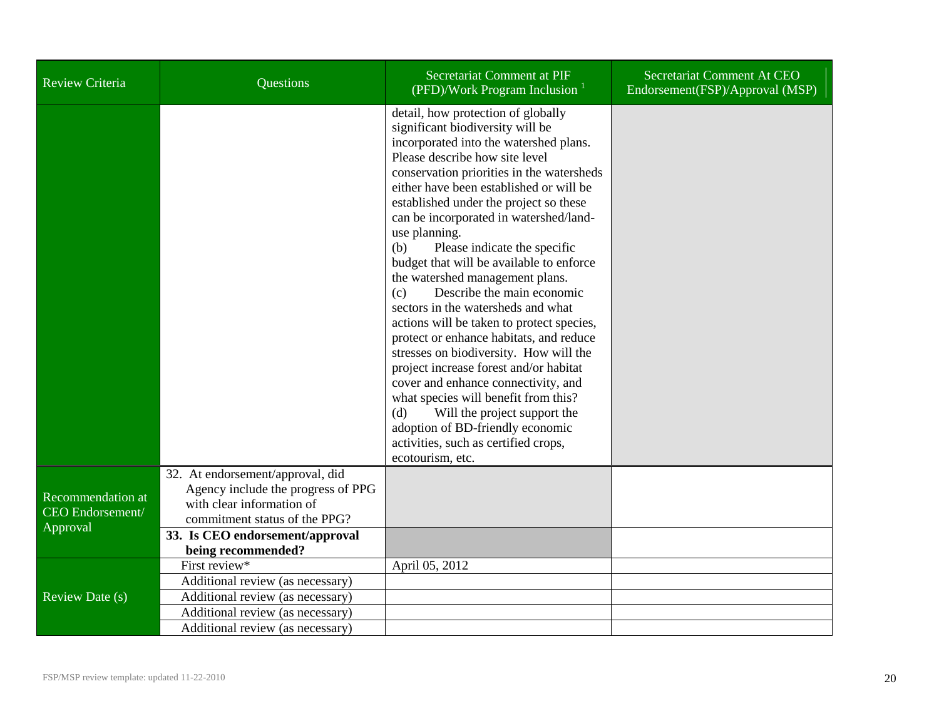| Review Criteria                                          | Questions                                                                                                                                                               | Secretariat Comment at PIF<br>(PFD)/Work Program Inclusion $1$                                                                                                                                                                                                                                                                                                                                                                                                                                                                                                                                                                                                                                                                                                                                                                                                                                                                                     | Secretariat Comment At CEO<br>Endorsement(FSP)/Approval (MSP) |
|----------------------------------------------------------|-------------------------------------------------------------------------------------------------------------------------------------------------------------------------|----------------------------------------------------------------------------------------------------------------------------------------------------------------------------------------------------------------------------------------------------------------------------------------------------------------------------------------------------------------------------------------------------------------------------------------------------------------------------------------------------------------------------------------------------------------------------------------------------------------------------------------------------------------------------------------------------------------------------------------------------------------------------------------------------------------------------------------------------------------------------------------------------------------------------------------------------|---------------------------------------------------------------|
|                                                          |                                                                                                                                                                         | detail, how protection of globally<br>significant biodiversity will be<br>incorporated into the watershed plans.<br>Please describe how site level<br>conservation priorities in the watersheds<br>either have been established or will be<br>established under the project so these<br>can be incorporated in watershed/land-<br>use planning.<br>Please indicate the specific<br>(b)<br>budget that will be available to enforce<br>the watershed management plans.<br>Describe the main economic<br>(c)<br>sectors in the watersheds and what<br>actions will be taken to protect species,<br>protect or enhance habitats, and reduce<br>stresses on biodiversity. How will the<br>project increase forest and/or habitat<br>cover and enhance connectivity, and<br>what species will benefit from this?<br>(d)<br>Will the project support the<br>adoption of BD-friendly economic<br>activities, such as certified crops,<br>ecotourism, etc. |                                                               |
| Recommendation at<br><b>CEO</b> Endorsement/<br>Approval | 32. At endorsement/approval, did<br>Agency include the progress of PPG<br>with clear information of<br>commitment status of the PPG?<br>33. Is CEO endorsement/approval |                                                                                                                                                                                                                                                                                                                                                                                                                                                                                                                                                                                                                                                                                                                                                                                                                                                                                                                                                    |                                                               |
|                                                          | being recommended?                                                                                                                                                      |                                                                                                                                                                                                                                                                                                                                                                                                                                                                                                                                                                                                                                                                                                                                                                                                                                                                                                                                                    |                                                               |
|                                                          | First review*                                                                                                                                                           | April 05, 2012                                                                                                                                                                                                                                                                                                                                                                                                                                                                                                                                                                                                                                                                                                                                                                                                                                                                                                                                     |                                                               |
|                                                          | Additional review (as necessary)                                                                                                                                        |                                                                                                                                                                                                                                                                                                                                                                                                                                                                                                                                                                                                                                                                                                                                                                                                                                                                                                                                                    |                                                               |
| Review Date (s)                                          | Additional review (as necessary)                                                                                                                                        |                                                                                                                                                                                                                                                                                                                                                                                                                                                                                                                                                                                                                                                                                                                                                                                                                                                                                                                                                    |                                                               |
|                                                          | Additional review (as necessary)                                                                                                                                        |                                                                                                                                                                                                                                                                                                                                                                                                                                                                                                                                                                                                                                                                                                                                                                                                                                                                                                                                                    |                                                               |
|                                                          | Additional review (as necessary)                                                                                                                                        |                                                                                                                                                                                                                                                                                                                                                                                                                                                                                                                                                                                                                                                                                                                                                                                                                                                                                                                                                    |                                                               |